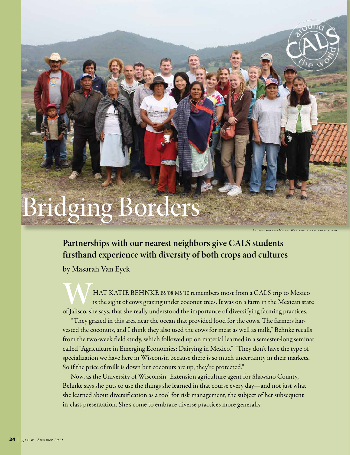## Bridging Borders

Photos courtesy Michel Wattiaux except where noted

## **Partnerships with our nearest neighbors give CALS students firsthand experience with diversity of both crops and cultures**

by Masarah Van Eyck

**WART KATIE BEHNKE BS'08 MS'10 remembers most from a CALS trip to Mexico**<br>is the sight of cows grazing under coconut trees. It was on a farm in the Mexican stat<br>of Jalisco, she says, that she really understood the importan is the sight of cows grazing under coconut trees. It was on a farm in the Mexican state of Jalisco, she says, that she really understood the importance of diversifying farming practices.

"They grazed in this area near the ocean that provided food for the cows. The farmers harvested the coconuts, and I think they also used the cows for meat as well as milk," Behnke recalls from the two-week field study, which followed up on material learned in a semester-long seminar called "Agriculture in Emerging Economies: Dairying in Mexico." "They don't have the type of specialization we have here in Wisconsin because there is so much uncertainty in their markets. So if the price of milk is down but coconuts are up, they're protected."

Now, as the University of Wisconsin–Extension agriculture agent for Shawano County, Behnke says she puts to use the things she learned in that course every day—and not just what she learned about diversification as a tool for risk management, the subject of her subsequent in-class presentation. She's come to embrace diverse practices more generally.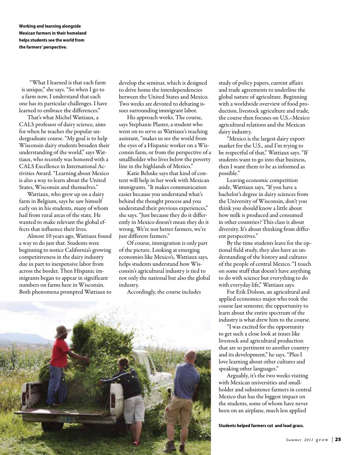**Working and learning alongside Mexican farmers in their homeland helps students see the world from the farmers' perspective.**

"What I learned is that each farm is unique," she says. "So when I go to a farm now, I understand that each one has its particular challenges. I have learned to embrace the differences."

That's what Michel Wattiaux, a CALS professor of dairy science, aims for when he teaches the popular undergraduate course. "My goal is to help Wisconsin dairy students broaden their understanding of the world," says Wattiaux, who recently was honored with a CALS Excellence in International Activities Award. "Learning about Mexico is also a way to learn about the United States, Wisconsin and themselves."

Wattiaux, who grew up on a dairy farm in Belgium, says he saw himself early on in his students, many of whom hail from rural areas of the state. He wanted to make relevant the global effects that influence their lives.

Almost 10 years ago, Wattiaux found a way to do just that. Students were beginning to notice California's growing competitiveness in the dairy industry due in part to inexpensive labor from across the border. Then Hispanic immigrants began to appear in significant numbers on farms here in Wisconsin. Both phenomena prompted Wattiaux to develop the seminar, which is designed to drive home the interdependencies between the United States and Mexico. Two weeks are devoted to debating issues surrounding immigrant labor.

His approach works. The course, says Stephanie Plaster, a student who went on to serve as Wattiaux's teaching assistant, "makes us see the world from the eyes of a Hispanic worker on a Wisconsin farm, or from the perspective of a smallholder who lives below the poverty line in the highlands of Mexico."

Katie Behnke says that kind of content will help in her work with Mexican immigrants. "It makes communication easier because you understand what's behind the thought process and you understand their previous experiences," she says. "Just because they do it differently in Mexico doesn't mean they do it wrong. We're not better farmers, we're just different farmers."

Of course, immigration is only part of the picture. Looking at emerging economies like Mexico's, Wattiaux says, helps students understand how Wisconsin's agricultural industry is tied to not only the national but also the global industry.

Accordingly, the course includes

study of policy papers, current affairs and trade agreements to underline the global nature of agriculture. Beginning with a worldwide overview of food production, livestock agriculture and trade, the course then focuses on U.S.–Mexico agricultural relations and the Mexican dairy industry.

"Mexico is the largest dairy export market for the U.S., and I'm trying to be respectful of that," Wattiaux says. "If students want to go into that business, then I want them to be as informed as possible."

Leaving economic competition aside, Wattiaux says, "If you have a bachelor's degree in dairy sciences from the University of Wisconsin, don't you think you should know a little about how milk is produced and consumed in other countries? This class is about diversity. It's about thinking from different perspectives."

By the time students leave for the optional field study, they also have an understanding of the history and cultures of the people of central Mexico. "I touch on some stuff that doesn't have anything to do with science but everything to do with everyday life," Wattiaux says.

For Erik Dolson, an agricultural and applied economics major who took the course last semester, the opportunity to learn about the entire spectrum of the industry is what drew him to the course.

"I was excited for the opportunity to get such a close look at issues like livestock and agricultural production that are so pertinent to another country and its development," he says. "Plus I love learning about other cultures and speaking other languages."

Arguably, it's the two weeks visiting with Mexican universities and smallholder and subsistence farmers in central Mexico that has the biggest impact on the students, some of whom have never been on an airplane, much less applied

**Students helped farmers cut and load grass.**